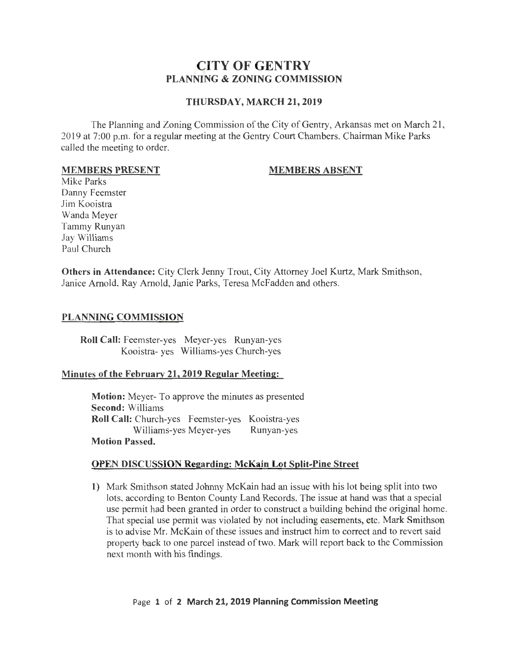# **CITY OF GENTRY PLANNING & ZONING COMMISSION**

## **THURSDAY, MARCH 21, 2019**

The Planning and Zoning Commission of the City of Gentry, Arkansas met on March 21, 2019 at 7:00 p.m. for a regular meeting at the Gentry Court Chambers. Chairman Mike Parks called the meeting to order.

#### **MEMBERS PRESENT**

# **MEMBERS ABSENT**

Mike Parks Danny Feemster Jim Kooistra Wanda Meyer Tammy Runyan Jay Williams Paul Church

**Others in Attendance:** City Clerk Jenny Trout, City Attorney Joel Kurtz, Mark Smithson, Janice Arnold, Ray Arnold, Janie Parks, Teresa McFadden and others.

# **PLANNING COMMISSION**

**Roll Call:** Feemster-yes Meyer-yes Runyan-yes Kooistra- yes Williams-yes Church-yes

### **Minutes of the February 21, 2019 Regular Meeting:**

**Motion:** Meyer- To approve the minutes as presented **Second:** Williams **Roll Call:** Church-yes Feemster-yes Kooistra-yes Williams-yes Meyer-yes Runyan-yes **Motion Passed.** 

### **OPEN DISCUSSION Regarding: McKain Lot Split-Pine Street**

**1)** Mark Smithson stated Johnny McKain had an issue with his lot being split into two lots, according to Benton County Land Records. The issue at hand was that a special use permit had been granted in order to construct a building behind the original home. That special use permit was violated by not including easernents, etc. Mark Smithson is to advise Mr. McKain of these issues and instruct him to correct and to revert said property back to one parcel instead of two. Mark will report back to the Commission next month with his findings.